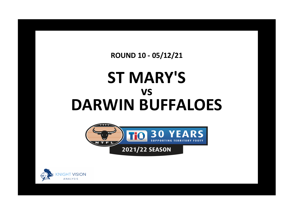**ROUND 10 - 05/12/21**

## **ST MARY'S DARWIN BUFFALOES vs**



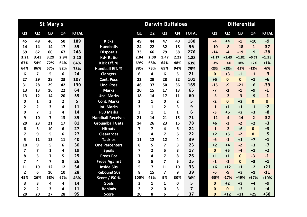|                |                | <b>St Mary's</b>        |                |              |                          | <b>Differential</b><br><b>Darwin Buffaloes</b> |                |                |                |                         |  |              |                |                |                |              |
|----------------|----------------|-------------------------|----------------|--------------|--------------------------|------------------------------------------------|----------------|----------------|----------------|-------------------------|--|--------------|----------------|----------------|----------------|--------------|
| Q1             | Q <sub>2</sub> | Q <sub>3</sub>          | Q4             | <b>TOTAL</b> |                          | Q1                                             | Q2             | Q <sub>3</sub> | Q <sub>4</sub> | <b>TOTAL</b>            |  | Q1           | Q <sub>2</sub> | Q <sub>3</sub> | Q <sub>4</sub> | <b>TOTAL</b> |
| 45             | 48             | 46                      | 50             | 189          | <b>Kicks</b>             | 49                                             | 44             | 47             | 40             | 180                     |  | $-4$         | $+4$           | $-1$           | $+10$          | $+9$         |
| 14             | 14             | 14                      | 17             | 59           | <b>Handballs</b>         | 24                                             | 22             | 32             | 18             | 96                      |  | $-10$        | $-8$           | $-18$          | $-1$           | $-37$        |
| 59             | 62             | 60                      | 67             | 248          | <b>Disposals</b>         | 73                                             | 66             | 79             | 58             | 276                     |  | $-14$        | $-4$           | $-19$          | $+9$           | $-28$        |
| 3.21           | 3.43           | 3.29                    | 2.94           | 3.20         | <b>K:H Ratio</b>         | 2.04                                           | 2.00           | 1.47           | 2.22           | 1.88                    |  | $+1.17$      | $+1.43$        | $+1.82$        | $+0.72$        | $+1.33$      |
| 67%            | 54%            | 72%                     | 64%            | 64%          | Kick Eff. %              | 69%                                            | 68%            | 64%            | 48%            | 63%                     |  | $-3%$        | $-14%$         | $+8%$          | $+17%$         | $+1%$        |
| 64%            | 86%            | 57%                     | 82%            | 73%          | <b>Handball Eff. %</b>   | 88%                                            | 73%            | 69%            | 94%            | 79%                     |  | $-23%$       | $+13%$         | $-12%$         | $-12%$         | $-6%$        |
| 6              | $\overline{7}$ | 5                       | 6              | 24           | <b>Clangers</b>          | 6                                              | 4              | 6              | 5              | 21                      |  | $\mathbf{0}$ | $+3$           | $-1$           | $+1$           | $+3$         |
| 27             | 29             | 28                      | 23             | 107          | <b>Cont. Poss</b>        | 22                                             | 29             | 28             | 22             | 101                     |  | $+5$         | $\mathbf{0}$   | $\Omega$       | $+1$           | $+6$         |
| 31             | 28             | 29                      | 42             | 130          | <b>Unc. Poss</b>         | 46                                             | 37             | 50             | 36             | 169                     |  | $-15$        | $-9$           | $-21$          | $+6$           | $-39$        |
| 13             | 13             | 16                      | 22             | 64           | <b>Marks</b>             | 20                                             | 15             | 17             | 13             | 65                      |  | $-7$         | $-2$           | $-1$           | $+9$           | $-1$         |
| 13             | 12             | 14                      | 20             | 59           | <b>Unc. Marks</b>        | 18                                             | 14             | 17             | 11             | 60                      |  | $-5$         | $-2$           | $-3$           | $+9$           | $-1$         |
| 0              | 1              | $\overline{2}$          | $\overline{2}$ | 5            | <b>Cont. Marks</b>       | $\mathbf{2}$                                   | 1              | $\Omega$       | $\overline{2}$ | 5                       |  | $-2$         | $\Omega$       | $+2$           | $\bf{0}$       | $\mathbf 0$  |
| $\overline{2}$ | $\overline{2}$ | 3                       | 4              | 11           | <b>Int. Marks</b>        | 3                                              | 1              | $\overline{2}$ | 3              | 9                       |  | $-1$         | $+1$           | $+1$           | $+1$           | $+2$         |
| 0              | $\overline{7}$ | $\overline{\mathbf{3}}$ | 4              | 14           | <b>F50 Marks</b>         | 3                                              | $\mathbf{1}$   | $\mathbf{1}$   | $\mathbf{1}$   | 6                       |  | $-3$         | $+6$           | $+2$           | $+3$           | $+8$         |
| 9              | 10             | 7                       | 13             | 39           | <b>Handball Receives</b> | 21                                             | 14             | 21             | 15             | 71                      |  | $-12$        | -4             | $-14$          | $-2$           | $-32$        |
| 20             | 23             | 21                      | 17             | 81           | <b>Groundball Gets</b>   | 14                                             | 26             | 23             | 15             | 78                      |  | $+6$         | $-3$           | $-2$           | $+2$           | $+3$         |
| 6              | 5              | 10                      | 6              | 27           | <b>Hitouts</b>           | $\overline{\mathbf{z}}$                        | $\overline{7}$ | 4              | 6              | 24                      |  | $-1$         | $-2$           | $+6$           | $\mathbf{0}$   | $+3$         |
| 7              | 9              | 5                       | 6              | 27           | <b>Clearances</b>        | 5                                              | 4              | 7              | 6              | 22                      |  | $+2$         | $+5$           | $-2$           | $\mathbf{0}$   | $+5$         |
| 5              | 11             | 13                      | 11             | 40           | <b>Tackles</b>           | 11                                             | 12             | 12             | 4              | 39                      |  | $-6$         | $-1$           | $+1$           | $+7$           | $+1$         |
| 10             | 9              | 5                       | 6              | 30           | <b>One Percenters</b>    | 8                                              | 5              | 7              | 3              | 23                      |  | $+2$         | $+4$           | $-2$           | $+3$           | $+7$         |
| 7              | $\overline{z}$ | $\mathbf{1}$            | 4              | 19           | <b>Spoils</b>            | 7                                              | $\overline{2}$ | 5              | 3              | 17                      |  | $\mathbf{0}$ | $+5$           | $-4$           | $+1$           | $+2$         |
| 8              | 5              | $\overline{ }$          | 5              | 25           | <b>Frees For</b>         | 7                                              | 4              | 7              | 8              | 26                      |  | $+1$         | $+1$           | $\Omega$       | $-3$           | $-1$         |
| 7              | 4              | $\overline{\mathbf{z}}$ | 8              | 26           | <b>Frees Against</b>     | 8                                              | 5              | $\overline{7}$ | 5              | 25                      |  | $-1$         | $-1$           | $\mathbf{0}$   | $+3$           | $+1$         |
| 11             | 19             | 12                      | 12             | 54           | <b>Inside 50s</b>        | 5                                              | $\overline{7}$ | 11             | 10             | 33                      |  | $+6$         | $+12$          | $+1$           | $+2$           | $+21$        |
| $\overline{2}$ | 6              | 10                      | 10             | 28           | <b>Rebound 50s</b>       | 8                                              | 15             | 7              | 9              | 39                      |  | $-6$         | $-9$           | $+3$           | $+1$           | $-11$        |
| 45%            | 26%            | 58%                     | 67%            | 46%          | Score / I50 %            | 100%                                           | 43%            | 9%             | 30%            | 36%                     |  | $-55%$       | $-17%$         | +49%           | $+37%$         | $+10%$       |
| 3              | 3              | 4                       | 4              | 14           | <b>Goals</b>             | 3                                              | $\mathbf{1}$   | 1              | 0              | 5                       |  | $\mathbf{0}$ | $+2$           | $+3$           | +4             | $+9$         |
| $\overline{2}$ | $\overline{2}$ | 3                       | 4              | 11           | <b>Behinds</b>           | 2                                              | 2              | 0              | 3              | $\overline{\mathbf{z}}$ |  | $\Omega$     | $\Omega$       | $+3$           | $+1$           | $+4$         |
| 20             | 20             | 27                      | 28             | 95           | <b>Score</b>             | 20                                             | 8              | 6              | 3              | 37                      |  | $\Omega$     | $+12$          | $+21$          | $+25$          | $+58$        |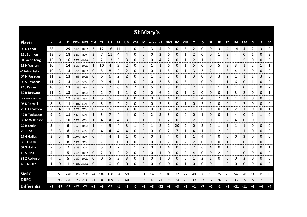|                       |      |       |       |       |             |      |           |       |      |    |           |      | <b>St Mary's</b> |       |      |      |            |      |      |              |    |      |       |            |      |      |                |
|-----------------------|------|-------|-------|-------|-------------|------|-----------|-------|------|----|-----------|------|------------------|-------|------|------|------------|------|------|--------------|----|------|-------|------------|------|------|----------------|
| <b>Player</b>         | К    | н     | D     |       | KE% HE% CLG |      | <b>CP</b> | UP    | M    | UM | <b>CM</b> | IM   | F50M HR          |       | GBG  | но   | <b>CLR</b> | т    | 1%   | <b>SP</b>    | FF | FA   | 150   | <b>R50</b> | G    | В    | <b>SA</b>      |
| 09 D Landt            | 28   | 1     | 29    |       | 61% 100%    | 3    | 12        | 16    | 11   | 11 | 0         | 0    | 3                | 4     | 9    | 0    | 6          | 2    | 0    | 0            | 3  | 4    | 14    | 4          | 2    | 3    | $\overline{2}$ |
| 12 J Salmon           | 13   | 5     | 18    | 62%   | 80%         | 3    |           | 11    | 4    | 4  | 0         | 0    | 0                | 2     | 6    | O    |            |      |      | 0            |    | 3    | 4     | 0          |      | 0    | 3              |
| 01 Jacob Long         | 16   | 0     | 16    |       | 75% #####   | 2    | 2         | 13    | 3    | 3  | 0         | 2    | 0                | 4     | 2    | 0    |            | 2    |      | 1            | 1  | 0    |       | 5          | 0    | 0    | 0              |
| 11 N Yarran           | 10   | 4     | 14    | 80%   | 100%        |      | 10        | 4     | 2    | 2  | 0         | 0    | 1                | 1     | 6    | 0    |            | 5    | 0    | 0            | 5  | 3    | 3     | 1          | 2    | 1    | 1              |
| 03 Lachlan Taylor     | 10   | 3     | 13    | 80%   | 100%        | 0    | 5         | 8     | 2    | 2  | 0         | 1    | 0                | 1     | 5    | 0    | 1          | 3    | 3    | 2            | 1  | 3    | 4     | 2          | 0    | 0    | 2              |
| 04 N Paredes          | 11   | 2     | 13    | 45%   | 100%        | 0    | 6         | 6     | 2    | 2  | 0         | 0    | 1                | 3     | 3    | 0    |            | 3    | 0    | 0            | 3  | 2    |       | 1          | 1    | 3    | 0              |
| 06 S Edwards          | 11   | 2     | 13    | 55%   | 50%         | 0    | 9         | 4     | 1    |    | 0         | 0    | 0                | 3     | 8    | 0    | 5          | 1    | 0    | 0            |    | 1    | 6     | 0          | 1    | 0    | 0              |
| 24 J Calder           | 10   | 3     | 13    | 70%   | 33%         | 2    | 6         |       | 6    | 4  | 2         | 1    | 5                | 1     | 3    | 0    | 0          | 2    |      | 1            |    | 1    |       | 0          | 5    | 0    | 2              |
| 39 B Browne           | 11   | 2     | 13    | 36%   | 100%        | 4    | 2         | 7     | 1    | 1  | 0         | 0    | 0                | 6     | 2    | 0    | 1          | 2    | 0    | 0            | 0  | 1    | 3     | 2          | 0    | 0    | 1              |
| 21 Braxton Ah Mat     | 8    | 4     | 12    | 50%   | 75%         | 1    | 5         | 5     | 3    | 3  | 0         | 1    | 0                | 0     | 4    | 0    | O          | 1    | 4    | 3            | 2  | 1    |       | 2          | 0    | 0    | 0              |
| 05 K Parnell          | 8    | 3     | 11    | 100%  | 67%         | 0    | 3         | 8     | 2    | 2  | 0         | 2    | 0                | 3     | 3    | 0    | 1          | 0    | 2    | $\mathbf{1}$ | 0  | 0    |       | 2          | 0    | 0    | 0              |
| 26 H Labastida        | 7    | 4     | 11    | 86%   | 75%         | 0    | 6         | 5     | 3    | 3  | 0         | 0    | 0                | 1     | 6    | 0    | 2          | 1    | 0    | 0            | 0  | 1    |       | 1          | 0    | 0    | 1              |
| <b>42 B Tedcastle</b> | 9    | 2     | 11    | 44%   | 50%         | 1    | 3         |       | 4    | 4  | 0         | 0    | 2                | 3     | 3    | 0    | 0          | 0    | 1    | 0            | 0  | 1    | 4     | 0          | 1    | 1    | 0              |
| 35 M Wilkinson        | 7    | 3     | 10    | 57%   | 67%         |      | 4         | 4     | 4    | 3  | 1         | 1    | 1                | 0     | 2    | 0    | O          | 2    | 2    | 0            |    | 2    | Δ     | 0          | 0    | 1    | 0              |
| 20 R Smith            | 5    | 4     | 9     | 60%   | 100%        | 1    | 4         | 5     | 4    | 3  | 1         | 0    | 1                | 2     | 2    | 20   | 2          | 0    | 2    |              | 1  | 1    | 1     | 1          | 0    | 0    | 0              |
| 23 J Toa              | 5    | 3     | 8     | 80%   | 67%         | 0    | 4         | 4     | 4    | 4  | 0         | 0    | 0                | 0     | 2    |      | 1          | 4    |      | 1            | 2  | 0    |       | 1          | 0    | 0    | 0              |
| 27 G Gallus           | 3    | 5     | 8     | 100%  | 80%         | 0    | 4         | 4     | 1    | 1  | 0         | 0    | 0                | 1     | 4    | 0    | 1          | 1    | 4    | 4            | 0  | 0    | 0     | 3          | 0    | 0    | 0              |
| 33 J Cheek            | 6    | 2     | 8     | 33%   | 50%         | 2    | 7         | 1     | 0    | 0  | 0         | 0    | 0                | 1     |      | 0    | 2          | 2    | 0    | 0            | 0  | 1    | 1     | 0          | 1    | 0    | 0              |
| 02 S Holna            | 2    | 5     | 7     | 50%   | 20%         | 3    | 5         | 3     | 2    | 1  | 1         | 2    | 0                | 1     | 4    | 0    | 0          | 2    | 6    | 4            | 0  | 1    |       | 0          | 0    | 0    | $\mathbf{1}$   |
| 10 S Rioli            | 4    |       | 5     |       | 75% 100%    | 0    | 2         | 3     | 2    | 2  | 0         | 0    | 0                | 1     | 0    | 0    | Ω          | 4    | Ω    | 0            | 2  | 0    |       | 0          | 0    | 0    | 0              |
| 31 Z Robinson         | 4    | 1     | 5     | 75%   | 100%        | 0    | 0         | 5     | 3    | 3  | 0         | 1    | 0                | 1     | 0    | 0    | 0          | 1    | 2    | 1            | 0  | 0    | 0     | 3          | 0    | 0    | 0              |
| 40 J Kluske           | 1    | 0     | 1     |       | 100% #####  | 0    | 1         | 0     | 0    | 0  | 0         | 0    | 0                | 0     | 0    | 0    | 1          | 0    | 0    | 0            | 1  | 0    | 0     | 0          | 0    | 0    | 0              |
|                       |      |       |       |       |             |      |           |       |      |    |           |      |                  |       |      |      |            |      |      |              |    |      |       |            |      |      |                |
| <b>SMFC</b>           | 189  | 59    | 248   | 64%   | 73%         | 24   | 107       | 130   | 64   | 59 | 5         | 11   | 14               | 39    | 81   | 27   | 27         | 40   | 30   | 19           | 25 | 26   | 54    | 28         | 14   | 11   | 13             |
| <b>DBFC</b>           | 180  | 96    | 276   |       | 63% 79%     | 21   | 101       | 169   | 65   | 60 | 5         | 9    | 6                | 71    | 78   | 24   | 22         | 39   | 23   | 17           | 26 | 25   | 33    | 39         | 5    | 7    | 9              |
| <b>Differential</b>   | $+9$ | $-37$ | $-28$ | $+1%$ | $-6%$       | $+3$ | $+6$      | $-39$ | $-1$ | -1 | 0         | $+2$ | $+8$             | $-32$ | $+3$ | $+3$ | $+5$       | $+1$ | $+7$ | $+2$         | -1 | $+1$ | $+21$ | $-11$      | $+9$ | $+4$ | +4             |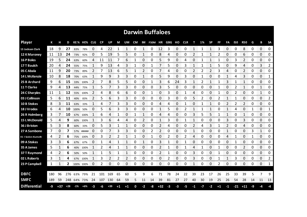|                      |      |       |       |           |             |              |     |           |      |      |    |                | <b>Darwin Buffaloes</b> |       |      |    |     |    |      |           |      |              |            |                |    |          |           |
|----------------------|------|-------|-------|-----------|-------------|--------------|-----|-----------|------|------|----|----------------|-------------------------|-------|------|----|-----|----|------|-----------|------|--------------|------------|----------------|----|----------|-----------|
| <b>Player</b>        | К    | н     | D     |           | KE% HE% CLG |              | CP  | <b>UP</b> | М    | UM   | CM |                | IM F50M HR GBG HO       |       |      |    | CLR | т  | 1%   | <b>SP</b> | FF   | FA           | <b>I50</b> | <b>R50</b>     | G  | B        | <b>SA</b> |
| 13 Jackson Clark     | 18   | 9     | 27    | 83%       | 78%         | 0            | 4   | 22        | 1    | 1    | 0  | 1              | 0                       | 12    | 3    | 0  | 0   |    |      | 1         | 3    | 0            | 0          | 8              | 0  | $\Omega$ | 0         |
| 12 K Maroney         | 11   | 13    | 24    | 73%       | 92%         | 0            | 5   | 19        | 5    | 5    | 0  | 1              | 0                       | 8     | 4    | 0  | 0   | 2  |      | 1         | 2    | 0            | 0          | 6              | 0  | 0        | 0         |
| 16 P Boles           | 19   | 5     | 24    | 63%       | 60%         | 4            | 11  | 11        |      | 6    |    | 0              | 0                       | 5     | 9    | 0  | 4   | 0  |      |           |      | 0            | 3          | 2              | 0  | 0        | 0         |
| 17 T Baulch          | 20   | 4     | 24    | 55%       | 75%         | 1            | 9   | 13        | 4    | 3    | 1  | 0              | 1                       | 7     | 5    | 0  | 3   | 1  |      |           | 5    | 0            | 9          | 4              | 0  | 3        | 2         |
| 05 C Abala           | 11   | 9     | 20    | 73%       | 89%         | 2            | 7   | 13        | 6    | 5    | 1  | 2              | 0                       | 7     | 4    | 0  | 0   | 2  | 2    | 2         | 3    | 4            | 0          | 2              | 0  | 0        | 0         |
| 14 L McKenzie        | 10   | 8     | 18    | 70%       | 63%         | $\mathbf{1}$ | 9   | 9         | 3    | 3    | 0  | 1              | 0                       | 5     | 9    | 0  | 3   | 0  | 1    | 0         | 0    | 1            | 4          | 3              | 0  | 0        | 1         |
| 25 B Archard         | 9    | 6     | 15    | 33%       | 100%        | 2            | 7   | 8         | 5    | 5    | 0  | 0              | 1                       | 3     | 6    | 24 | 3   |    | 2    |           |      | 3            | 1          | $\mathbf{1}$   | 0  | 0        | 0         |
| 11 T Clarke          | 9    | 4     | 13    | 44%       | 75%         |              | 5   | 7         | 3    | 3    | 0  | 0              | 0                       | 3     | 5    | 0  | 0   | 0  | 0    | 0         |      | 0            | 2          | 1              | 0  | 1        | 0         |
| 24 C Sharples        | 11   |       | 12    |           | 55% 100%    | 2            | 4   | 8         | 6    | 6    | 0  | 0              | 1                       | 0     | 3    | 0  |     | 4  | 0    | 0         |      | 0            | 2          | 0              | 0  | 1        | 0         |
| 03 J Collinson       | 5.   | 6     | 11    | 40%       | 83%         | 2            | 5   | 6         | 3    | 3    | 0  | 0              | 0                       | 0     | 3    | 0  | 0   | 5  | 2    | 0         | 2    | 1            | 1          | 0              | 0  | 0        | 2         |
| 10 B Stokes          | 8    | 3     | 11    | 63%       | 33%         |              | 4   |           | 3    | 3    | 0  | 0              | 0                       | 4     | 4    | 0  |     | 0  |      |           | 0    | 2            | 2          | 2              | 0  | 0        | 0         |
| 18 J Vrodos          | 6    | 4     | 10    | 100%      | 50%         | 0            | 5   | 6         | 3    | 3    | 0  | 0              | 0                       | 1     | 5    | 0  | 2   | 1  |      | 1         | Ω    | 1            | 4          | 0              |    | 0        | 1         |
| 26 R Holmberg        | 3    |       | 10    | 67%       | 100%        |              | 6   | 4         | 1    | 0    | 1  | 1              | 0                       | 4     | 4    | 0  | 0   | 3  | 5    | 5         |      | $\mathbf{1}$ | 0          | 1              | 0  | 0        | 0         |
| <b>15 L McDonald</b> | 5.   | 4     | 9     | 60%       | 100%        | -1           | 3   | 6         | 4    | 4    | 0  | $\overline{2}$ | 0                       | 1     | 3    | 0  |     |    | 0    | 0         | 0    | 3            | 0          | 3              | 0  | 0        | 0         |
| 36 J Briston         | 5    | 3     | 8     | 60%       | 33%         | 0            | 5   | 3         |      | 1    | 0  | 0              | 0                       | 2     | 4    | 0  | 0   | 2  | 4    | 3         |      | 2            | 0          | 4              | 0  | 0        | 0         |
| 27 A Sambono         | 7    | 0     | 7     |           | 57% #####   | 0            | 0   |           | 3    | 3    | 0  | 0              | 2                       | 2     | 0    | 0  | 0   | 1  | 0    | 0         | 0    | 1            | 0          | 0              | 3  | 1        | 0         |
| 01 I Seden-Kurnoth   | 4    | 2     | 6     |           | 75% 100%    | 0            | 3   | 2         | 2    | 1    | 1  | 0              | 1                       | 0     | 2    | 0  | 2   | 4  | 0    | 0         | 0    | 4            | 1          | 0              | 1  | 0        | 0         |
| 09 A Stokes          | 3    | 3     | 6     | 67%       | 67%         | 0            |     | Δ         |      | 1    | 0  | 1              | 0                       | 3     | 1    | 0  |     | 0  | 0    | 0         | 0    | 0            | 1          | 0              | 0  | 0        | 0         |
| 35 A James           | 5    | 1     | 6     | 40%       | 100%        |              | 2   | 4         | 1    | 1    | 0  | 0              | 0                       | 2     |      | 0  |     | 4  |      | 0         |      | 0            | 0          | $\overline{2}$ | 0  | 0        | 0         |
| 37 T Raymond         | 4    | 2     | 6     | 50%       | 50%         | 1            | 1   | 5         |      | 1    | 0  | 0              | 0                       | 2     | 1    | 0  | 0   | 3  | 0    | 0         |      | 0            | 0          | 0              | 0  | 0        | 0         |
| 02 L Roberts         | 3    | 1     | 4     | 67%       | 100%        | 1            | 3   | 2         | 2    | 2    | 0  | 0              | 0                       | 0     | 2    | 0  | 0   | 3  | 0    | 0         |      | 1            | 3          | 0              | 0  | 0        | 2         |
| 23 P Campbell        | 1    | 1     | 2     | 100% 100% |             | 0            | 2   | 0         | 0    | 0    | 0  | 0              | 0                       | 0     | 0    | 0  | 0   | 1  | 0    | 0         | 2    | 0            | 0          | 0              | 0  | 0        | 1         |
|                      |      |       |       |           |             |              |     |           |      |      |    |                |                         |       |      |    |     |    |      |           |      |              |            |                |    |          |           |
| <b>DBFC</b>          | 180  | 96    | 276   |           | 63% 79%     | 21           | 101 | 169       | 65   | 60   | 5  | 9              | 6                       | 71    | 78   | 24 | 22  | 39 | 23   | 17        | 26   | 25           | 33         | 39             | 5  | 7        | 9         |
| <b>SMFC</b>          | -189 | 59    | 248   |           | 64% 73%     | 24           | 107 | 130       | 64   | 59   | 5  | 11             | 14                      | 39    | 81   | 27 | 27  | 40 | 30   | 19        | 25   | 26           | 54         | 28             | 14 | 11       | 13        |
| <b>Differential</b>  | -9   | $+37$ | $+28$ | $-1%$     | $+6%$       | -3           | -6  | $+39$     | $+1$ | $+1$ | 0  | -2             | -8                      | $+32$ | $-3$ | -3 | -5  | -1 | $-7$ | $-2$      | $+1$ | $-1$         |            | $-21$ $+11$    | -9 | -4       | -4        |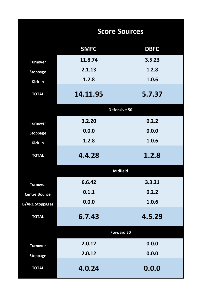|                        | <b>Score Sources</b> |             |
|------------------------|----------------------|-------------|
|                        | <b>SMFC</b>          | <b>DBFC</b> |
| <b>Turnover</b>        | 11.8.74              | 3.5.23      |
| <b>Stoppage</b>        | 2.1.13               | 1.2.8       |
| Kick In                | 1.2.8                | 1.0.6       |
| <b>TOTAL</b>           | 14.11.95             | 5.7.37      |
|                        | Defensive 50         |             |
| <b>Turnover</b>        | 3.2.20               | 0.2.2       |
| <b>Stoppage</b>        | 0.0.0                | 0.0.0       |
| Kick In                | 1.2.8                | 1.0.6       |
| <b>TOTAL</b>           | 4.4.28               | 1.2.8       |
|                        | <b>Midfield</b>      |             |
| <b>Turnover</b>        | 6.6.42               | 3.3.21      |
| <b>Centre Bounce</b>   | 0.1.1                | 0.2.2       |
| <b>B/ARC Stoppages</b> | 0.0.0                | 1.0.6       |
| <b>TOTAL</b>           | 6.7.43               | 4.5.29      |
|                        | <b>Forward 50</b>    |             |
| <b>Turnover</b>        | 2.0.12               | 0.0.0       |
| <b>Stoppage</b>        | 2.0.12               | 0.0.0       |
| <b>TOTAL</b>           | 4.0.24               | 0.0.0       |